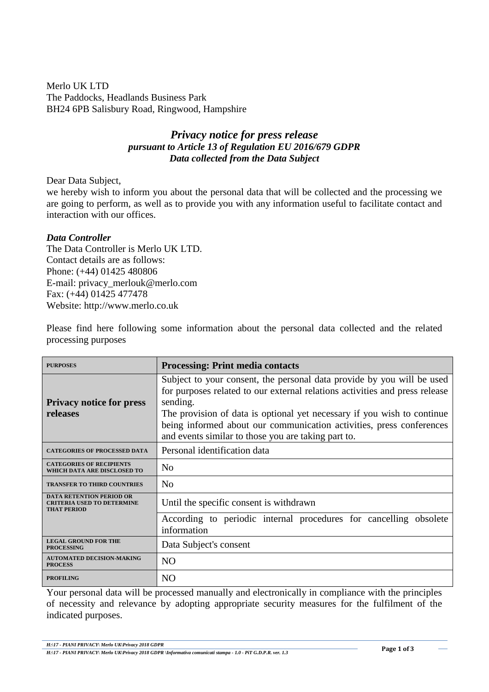Merlo UK LTD The Paddocks, Headlands Business Park BH24 6PB Salisbury Road, Ringwood, Hampshire

## *Privacy notice for press release pursuant to Article 13 of Regulation EU 2016/679 GDPR Data collected from the Data Subject*

Dear Data Subject,

we hereby wish to inform you about the personal data that will be collected and the processing we are going to perform, as well as to provide you with any information useful to facilitate contact and interaction with our offices.

## *Data Controller*

The Data Controller is Merlo UK LTD. Contact details are as follows: Phone: (+44) 01425 480806 E-mail: privacy\_merlouk@merlo.com Fax: (+44) 01425 477478 Website: http://www.merlo.co.uk

Please find here following some information about the personal data collected and the related processing purposes

| <b>PURPOSES</b>                                                                            | <b>Processing: Print media contacts</b>                                                                                                                                                                                                                                                                                                                                     |
|--------------------------------------------------------------------------------------------|-----------------------------------------------------------------------------------------------------------------------------------------------------------------------------------------------------------------------------------------------------------------------------------------------------------------------------------------------------------------------------|
| <b>Privacy notice for press</b><br>releases                                                | Subject to your consent, the personal data provide by you will be used<br>for purposes related to our external relations activities and press release<br>sending.<br>The provision of data is optional yet necessary if you wish to continue<br>being informed about our communication activities, press conferences<br>and events similar to those you are taking part to. |
| <b>CATEGORIES OF PROCESSED DATA</b>                                                        | Personal identification data                                                                                                                                                                                                                                                                                                                                                |
| <b>CATEGORIES OF RECIPIENTS</b><br>WHICH DATA ARE DISCLOSED TO                             | N <sub>o</sub>                                                                                                                                                                                                                                                                                                                                                              |
| <b>TRANSFER TO THIRD COUNTRIES</b>                                                         | N <sub>0</sub>                                                                                                                                                                                                                                                                                                                                                              |
| <b>DATA RETENTION PERIOD OR</b><br><b>CRITERIA USED TO DETERMINE</b><br><b>THAT PERIOD</b> | Until the specific consent is withdrawn<br>According to periodic internal procedures for cancelling obsolete                                                                                                                                                                                                                                                                |
|                                                                                            | information                                                                                                                                                                                                                                                                                                                                                                 |
| <b>LEGAL GROUND FOR THE</b><br><b>PROCESSING</b>                                           | Data Subject's consent                                                                                                                                                                                                                                                                                                                                                      |
| <b>AUTOMATED DECISION-MAKING</b><br><b>PROCESS</b>                                         | N <sub>O</sub>                                                                                                                                                                                                                                                                                                                                                              |
| <b>PROFILING</b>                                                                           | N <sub>O</sub>                                                                                                                                                                                                                                                                                                                                                              |

Your personal data will be processed manually and electronically in compliance with the principles of necessity and relevance by adopting appropriate security measures for the fulfilment of the indicated purposes.

*H:\17 - PIANI PRIVACY\ Merlo UK\Privacy 2018 GDPR*

*H:\17 - PIANI PRIVACY\ Merlo UK\Privacy 2018 GDPR \Informativa comunicati stampa - 1.0 - PiT G.D.P.R. ver. 1.3*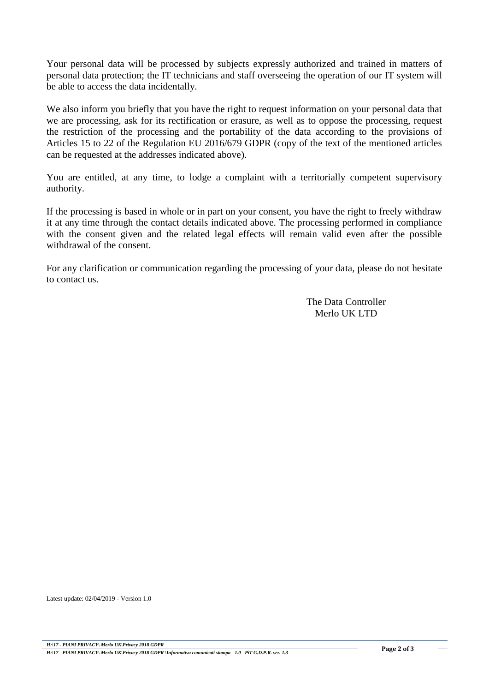Your personal data will be processed by subjects expressly authorized and trained in matters of personal data protection; the IT technicians and staff overseeing the operation of our IT system will be able to access the data incidentally.

We also inform you briefly that you have the right to request information on your personal data that we are processing, ask for its rectification or erasure, as well as to oppose the processing, request the restriction of the processing and the portability of the data according to the provisions of Articles 15 to 22 of the Regulation EU 2016/679 GDPR (copy of the text of the mentioned articles can be requested at the addresses indicated above).

You are entitled, at any time, to lodge a complaint with a territorially competent supervisory authority.

If the processing is based in whole or in part on your consent, you have the right to freely withdraw it at any time through the contact details indicated above. The processing performed in compliance with the consent given and the related legal effects will remain valid even after the possible withdrawal of the consent.

For any clarification or communication regarding the processing of your data, please do not hesitate to contact us.

> The Data Controller Merlo UK LTD

Latest update: 02/04/2019 - Version 1.0